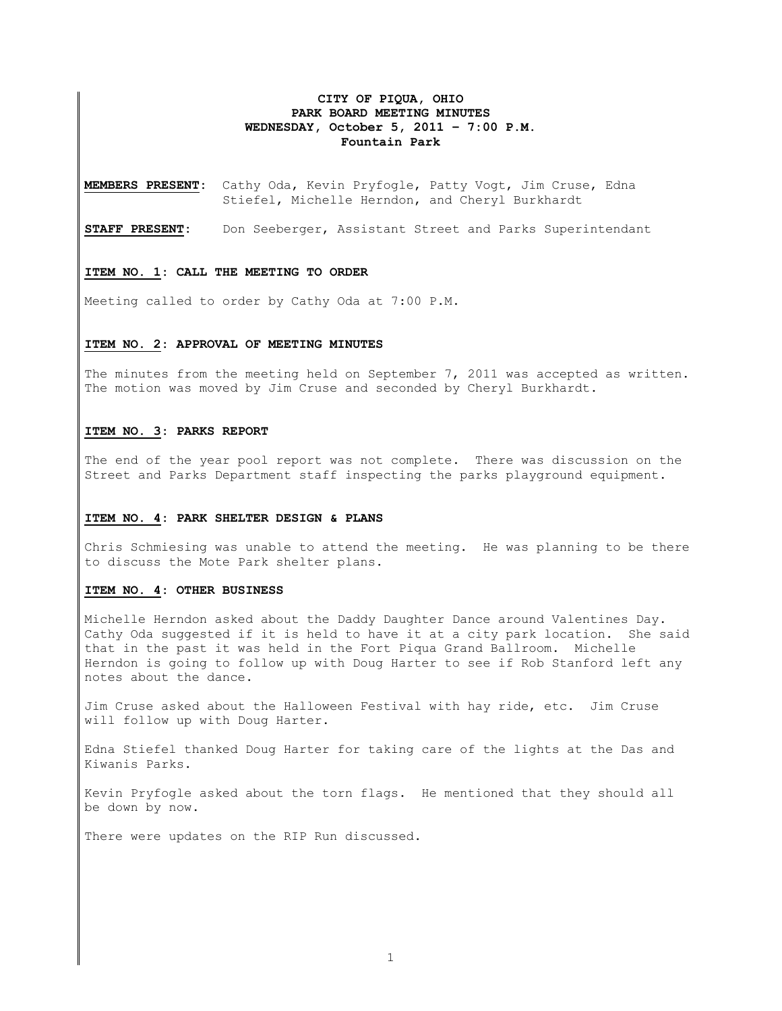## **CITY OF PIQUA, OHIO PARK BOARD MEETING MINUTES WEDNESDAY, October 5, 2011 – 7:00 P.M. Fountain Park**

**MEMBERS PRESENT:** Cathy Oda, Kevin Pryfogle, Patty Vogt, Jim Cruse, Edna Stiefel, Michelle Herndon, and Cheryl Burkhardt

**STAFF PRESENT:** Don Seeberger, Assistant Street and Parks Superintendant

#### **ITEM NO. 1: CALL THE MEETING TO ORDER**

Meeting called to order by Cathy Oda at 7:00 P.M.

### **ITEM NO. 2: APPROVAL OF MEETING MINUTES**

The minutes from the meeting held on September 7, 2011 was accepted as written. The motion was moved by Jim Cruse and seconded by Cheryl Burkhardt.

## **ITEM NO. 3: PARKS REPORT**

The end of the year pool report was not complete. There was discussion on the Street and Parks Department staff inspecting the parks playground equipment.

#### **ITEM NO. 4: PARK SHELTER DESIGN & PLANS**

Chris Schmiesing was unable to attend the meeting. He was planning to be there to discuss the Mote Park shelter plans.

### **ITEM NO. 4: OTHER BUSINESS**

Michelle Herndon asked about the Daddy Daughter Dance around Valentines Day. Cathy Oda suggested if it is held to have it at a city park location. She said that in the past it was held in the Fort Piqua Grand Ballroom. Michelle Herndon is going to follow up with Doug Harter to see if Rob Stanford left any notes about the dance.

Jim Cruse asked about the Halloween Festival with hay ride, etc. Jim Cruse will follow up with Doug Harter.

Edna Stiefel thanked Doug Harter for taking care of the lights at the Das and Kiwanis Parks.

Kevin Pryfogle asked about the torn flags. He mentioned that they should all be down by now.

There were updates on the RIP Run discussed.